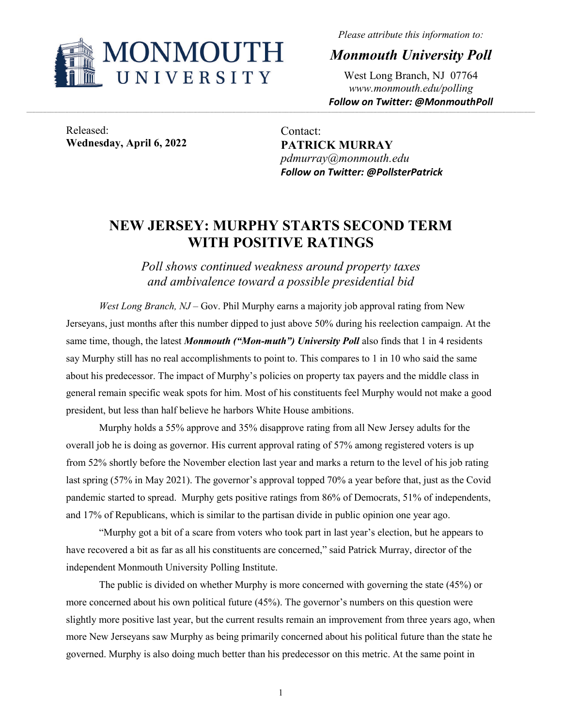

*Please attribute this information to:*

*Monmouth University Poll*

West Long Branch, NJ 07764 *www.monmouth.edu/polling Follow on Twitter: @MonmouthPoll*

Released: **Wednesday, April 6, 2022**

Contact: **PATRICK MURRAY** *pdmurray@monmouth.edu Follow on Twitter: @PollsterPatrick*

## **NEW JERSEY: MURPHY STARTS SECOND TERM WITH POSITIVE RATINGS**

*Poll shows continued weakness around property taxes and ambivalence toward a possible presidential bid* 

*West Long Branch, NJ* – Gov. Phil Murphy earns a majority job approval rating from New Jerseyans, just months after this number dipped to just above 50% during his reelection campaign. At the same time, though, the latest *Monmouth ("Mon-muth") University Poll* also finds that 1 in 4 residents say Murphy still has no real accomplishments to point to. This compares to 1 in 10 who said the same about his predecessor. The impact of Murphy's policies on property tax payers and the middle class in general remain specific weak spots for him. Most of his constituents feel Murphy would not make a good president, but less than half believe he harbors White House ambitions.

Murphy holds a 55% approve and 35% disapprove rating from all New Jersey adults for the overall job he is doing as governor. His current approval rating of 57% among registered voters is up from 52% shortly before the November election last year and marks a return to the level of his job rating last spring (57% in May 2021). The governor's approval topped 70% a year before that, just as the Covid pandemic started to spread. Murphy gets positive ratings from 86% of Democrats, 51% of independents, and 17% of Republicans, which is similar to the partisan divide in public opinion one year ago.

"Murphy got a bit of a scare from voters who took part in last year's election, but he appears to have recovered a bit as far as all his constituents are concerned," said Patrick Murray, director of the independent Monmouth University Polling Institute.

The public is divided on whether Murphy is more concerned with governing the state (45%) or more concerned about his own political future (45%). The governor's numbers on this question were slightly more positive last year, but the current results remain an improvement from three years ago, when more New Jerseyans saw Murphy as being primarily concerned about his political future than the state he governed. Murphy is also doing much better than his predecessor on this metric. At the same point in

1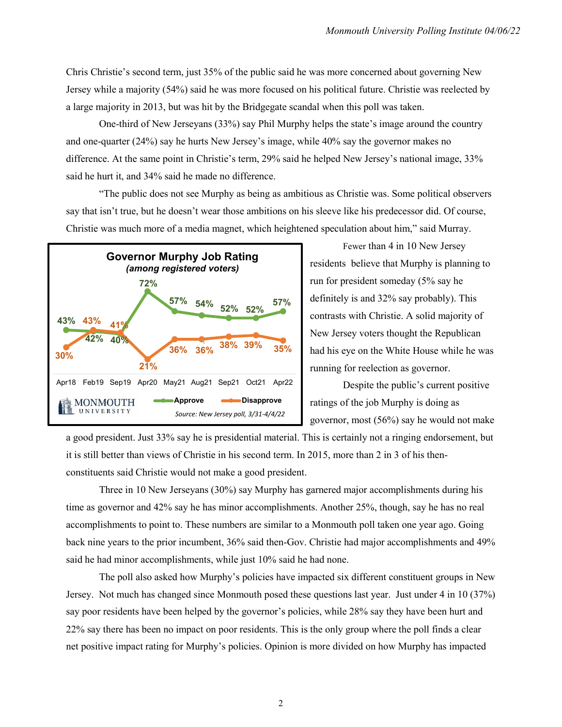Chris Christie's second term, just 35% of the public said he was more concerned about governing New Jersey while a majority (54%) said he was more focused on his political future. Christie was reelected by a large majority in 2013, but was hit by the Bridgegate scandal when this poll was taken.

One-third of New Jerseyans (33%) say Phil Murphy helps the state's image around the country and one-quarter (24%) say he hurts New Jersey's image, while 40% say the governor makes no difference. At the same point in Christie's term, 29% said he helped New Jersey's national image, 33% said he hurt it, and 34% said he made no difference.

"The public does not see Murphy as being as ambitious as Christie was. Some political observers say that isn't true, but he doesn't wear those ambitions on his sleeve like his predecessor did. Of course, Christie was much more of a media magnet, which heightened speculation about him," said Murray.



Fewer than 4 in 10 New Jersey residents believe that Murphy is planning to run for president someday (5% say he definitely is and 32% say probably). This contrasts with Christie. A solid majority of New Jersey voters thought the Republican had his eye on the White House while he was running for reelection as governor.

Despite the public's current positive ratings of the job Murphy is doing as governor, most (56%) say he would not make

a good president. Just 33% say he is presidential material. This is certainly not a ringing endorsement, but it is still better than views of Christie in his second term. In 2015, more than 2 in 3 of his thenconstituents said Christie would not make a good president.

Three in 10 New Jerseyans (30%) say Murphy has garnered major accomplishments during his time as governor and 42% say he has minor accomplishments. Another 25%, though, say he has no real accomplishments to point to. These numbers are similar to a Monmouth poll taken one year ago. Going back nine years to the prior incumbent, 36% said then-Gov. Christie had major accomplishments and 49% said he had minor accomplishments, while just 10% said he had none.

The poll also asked how Murphy's policies have impacted six different constituent groups in New Jersey. Not much has changed since Monmouth posed these questions last year. Just under 4 in 10 (37%) say poor residents have been helped by the governor's policies, while 28% say they have been hurt and 22% say there has been no impact on poor residents. This is the only group where the poll finds a clear net positive impact rating for Murphy's policies. Opinion is more divided on how Murphy has impacted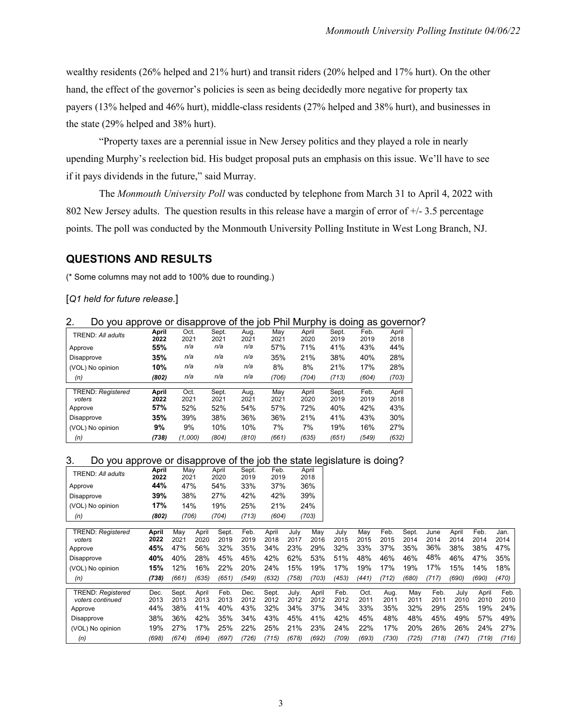wealthy residents (26% helped and 21% hurt) and transit riders (20% helped and 17% hurt). On the other hand, the effect of the governor's policies is seen as being decidedly more negative for property tax payers (13% helped and 46% hurt), middle-class residents (27% helped and 38% hurt), and businesses in the state (29% helped and 38% hurt).

"Property taxes are a perennial issue in New Jersey politics and they played a role in nearly upending Murphy's reelection bid. His budget proposal puts an emphasis on this issue. We'll have to see if it pays dividends in the future," said Murray.

The *Monmouth University Poll* was conducted by telephone from March 31 to April 4, 2022 with 802 New Jersey adults. The question results in this release have a margin of error of +/- 3.5 percentage points. The poll was conducted by the Monmouth University Polling Institute in West Long Branch, NJ.

### **QUESTIONS AND RESULTS**

(\* Some columns may not add to 100% due to rounding.)

[*Q1 held for future release.*]

|  |  | Do you approve or disapprove of the job Phil Murphy is doing as governor? |  |  |  |  |  |  |
|--|--|---------------------------------------------------------------------------|--|--|--|--|--|--|
|--|--|---------------------------------------------------------------------------|--|--|--|--|--|--|

| TREND: All adults                  | April<br>2022 | Oct.<br>2021 | Sept.<br>2021 | Aug.<br>2021 | Mav<br>2021 | April<br>2020 | Sept.<br>2019 | Feb.<br>2019 | April<br>2018 |
|------------------------------------|---------------|--------------|---------------|--------------|-------------|---------------|---------------|--------------|---------------|
| Approve                            | 55%           | n/a          | n/a           | n/a          | 57%         | 71%           | 41%           | 43%          | 44%           |
| Disapprove                         | 35%           | n/a          | n/a           | n/a          | 35%         | 21%           | 38%           | 40%          | 28%           |
| (VOL) No opinion                   | 10%           | n/a          | n/a           | n/a          | 8%          | 8%            | 21%           | 17%          | 28%           |
| (n)                                | (802)         | n/a          | n/a           | n/a          | (706)       | (704)         | (713)         | (604)        | (703)         |
| <b>TREND: Registered</b><br>voters | April<br>2022 | Oct.<br>2021 | Sept.<br>2021 | Aug.<br>2021 | Mav<br>2021 | April<br>2020 | Sept.<br>2019 | Feb.<br>2019 | April<br>2018 |
| Approve                            | 57%           | 52%          | 52%           | 54%          | 57%         | 72%           | 40%           | 42%          | 43%           |
| Disapprove                         | 35%           | 39%          | 38%           | 36%          | 36%         | 21%           | 41%           | 43%          | 30%           |
| (VOL) No opinion                   | 9%            | 9%           | 10%           | 10%          | 7%          | 7%            | 19%           | 16%          | 27%           |
| (n)                                | (738)         | (1,000)      | (804)         | (810)        | (661)       | (635)         | (651)         | (549)        | (632)         |

#### 3. Do you approve or disapprove of the job the state legislature is doing?

| TREND: All adults | April | Mav   | April | Sept. | Feb.  | April |  |
|-------------------|-------|-------|-------|-------|-------|-------|--|
|                   | 2022  | 2021  | 2020  | 2019  | 2019  | 2018  |  |
| Approve           | 44%   | 47%   | 54%   | 33%   | 37%   | 36%   |  |
| Disapprove        | 39%   | 38%   | 27%   | 42%   | 42%   | 39%   |  |
| (VOL) No opinion  | 17%   | 14%   | 19%   | 25%   | 21%   | 24%   |  |
| (n)               | (802) | (706) | (704) | (713) | (604) | (703) |  |

| <b>TREND: Registered</b><br>voters                      | April<br>2022       | Mav<br>$202^{\circ}$ | April<br>2020        | Sept.<br>2019       | Feb.<br>2019        | April<br>2018        | July<br>2017         | Mav<br>2016          | July<br>2015        | May<br>2015         | Feb.<br>2015        | Sept.<br>2014      | June<br>2014                 | April<br>2014       | Feb.<br>2014         | Jan.<br>2014        |
|---------------------------------------------------------|---------------------|----------------------|----------------------|---------------------|---------------------|----------------------|----------------------|----------------------|---------------------|---------------------|---------------------|--------------------|------------------------------|---------------------|----------------------|---------------------|
| Approve                                                 | 45%                 | 47%                  | 56%                  | 32%                 | 35%                 | 34%                  | 23%                  | 29%                  | 32%                 | 33%                 | 37%                 | 35%                | 36%                          | 38%                 | 38%                  | 47%                 |
| Disapprove                                              | 40%                 | 40%                  | 28%                  | 45%                 | 45%                 | 42%                  | 62%                  | 53%                  | 51%                 | 48%                 | 46%                 | 46%                | 48%                          | 46%                 | 47%                  | 35%                 |
| (VOL) No opinion                                        | 15%                 | 12%                  | 16%                  | 22%                 | 20%                 | 24%                  | 15%                  | 19%                  | 17%                 | 19%                 | 17%                 | 19%                | 17%                          | 15%                 | 14%                  | 18%                 |
| (n)                                                     | (738)               | (661)                | (635)                | (651)               | (549)               | (632)                | (758)                | (703)                | (453)               | (441)               | (712)               | (680)              | (717)                        | (690)               | (690)                | (470)               |
| <b>TREND: Registered</b><br>voters continued<br>Approve | Dec.<br>2013<br>44% | Sept.<br>2013<br>38% | April<br>2013<br>41% | Feb.<br>2013<br>40% | Dec.<br>2012<br>43% | Sept.<br>2012<br>32% | July.<br>2012<br>34% | April<br>2012<br>37% | Feb.<br>2012<br>34% | Oct.<br>201'<br>33% | Aug.<br>201'<br>35% | Mav<br>2011<br>32% | Feb.<br>$201^{\circ}$<br>29% | Julv<br>2010<br>25% | April<br>2010<br>19% | Feb.<br>2010<br>24% |
| Disapprove                                              | 38%                 | 36%                  | 42%                  | 35%                 | 34%                 | 43%                  | 45%                  | 41%                  | 42%                 | 45%                 | 48%                 | 48%                | 45%                          | 49%                 | 57%                  | 49%                 |
| (VOL) No opinion                                        | 19%                 | 27%                  | 17%                  | 25%                 | 22%                 | 25%                  | 21%                  | 23%                  | 24%                 | 22%                 | 17%                 | 20%                | 26%                          | 26%                 | 24%                  | 27%                 |
| (n)                                                     | (698)               | (674)                | (694)                | (697)               | ′726)               | (715)                | (678)                | (692)                | (709)               | (693)               | 730)                | (725)              | (718)                        | ′747)               | (719)                | (716)               |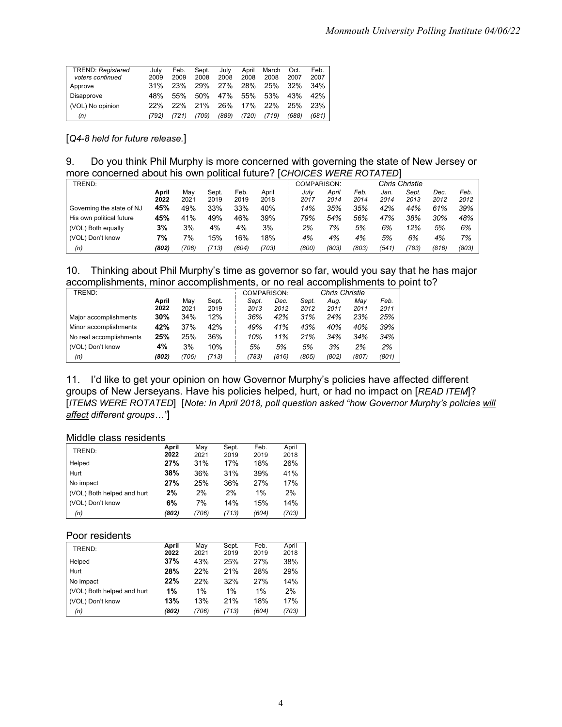| <b>TREND: Registered</b><br>voters continued | July<br>2009 | Feb.<br>2009 | Sept.<br>2008 | July<br>2008 | April<br>2008 | March<br>2008 | Oct.<br>2007 | Feb.<br>2007 |
|----------------------------------------------|--------------|--------------|---------------|--------------|---------------|---------------|--------------|--------------|
| Approve                                      | 31%          | 23%          | 29%           | 27%          | 28%           | 25%           | 32%          | 34%          |
| Disapprove                                   | 48%          | .55%         | 50%           | 47%          | 55%           | 53%           | 43%          | 42%          |
| (VOL) No opinion                             | 22%          | 22%          | 21%           | 26%          | 17%           | 22%           | 25%          | 23%          |
| (n)                                          | (792)        | (721)        | (709)         | (889)        | (720)         | (719)         | (688)        | (681)        |

[*Q4-8 held for future release.*]

9. Do you think Phil Murphy is more concerned with governing the state of New Jersey or more concerned about his own political future? [*CHOICES WERE ROTATED*]

| TREND:                    |       |       |       |       |       |       | COMPARISON: |       |       | <b>Chris Christie</b> |       |       |
|---------------------------|-------|-------|-------|-------|-------|-------|-------------|-------|-------|-----------------------|-------|-------|
|                           | April | Mav   | Sept. | Feb.  | April | July  | April       | Feb.  | Jan.  | Sept.                 | Dec.  | Feb.  |
|                           | 2022  | 2021  | 2019  | 2019  | 2018  | 2017  | 2014        | 2014  | 2014  | 2013                  | 2012  | 2012  |
| Governing the state of NJ | 45%   | 49%   | 33%   | 33%   | 40%   | 14%   | 35%         | 35%   | 42%   | 44%                   | 61%   | 39%   |
| His own political future  | 45%   | 41%   | 49%   | 46%   | 39%   | 79%   | 54%         | 56%   | 47%   | 38%                   | 30%   | 48%   |
| (VOL) Both equally        | 3%    | 3%    | 4%    | 4%    | 3%    | 2%    | 7%          | 5%    | 6%    | 12%                   | 5%    | 6%    |
| (VOL) Don't know          | 7%    | 7%    | 15%   | 16%   | 18%   | 4%    | 4%          | 4%    | 5%    | 6%                    | 4%    | 7%    |
| (n)                       | (802) | (706) | (713) | (604) | (703) | (800) | (803)       | (803) | (541) | (783)                 | (816) | (803) |

| 10. Thinking about Phil Murphy's time as governor so far, would you say that he has major |  |  |
|-------------------------------------------------------------------------------------------|--|--|
| accomplishments, minor accomplishments, or no real accomplishments to point to?           |  |  |

| TREND:                  |       |       |       | COMPARISON: |       |       | <b>Chris Christie</b> |       |       |
|-------------------------|-------|-------|-------|-------------|-------|-------|-----------------------|-------|-------|
|                         | April | Mav   | Sept. | Sept.       | Dec.  | Sept. | Aua.                  | Mav   | Feb.  |
|                         | 2022  | 2021  | 2019  | 2013        | 2012  | 2012  | 2011                  | 2011  | 2011  |
| Major accomplishments   | 30%   | 34%   | 12%   | 36%         | 42%   | 31%   | 24%                   | 23%   | 25%   |
| Minor accomplishments   | 42%   | 37%   | 42%   | 49%         | 41%   | 43%   | 40%                   | 40%   | 39%   |
| No real accomplishments | 25%   | 25%   | 36%   | 10%         | 11%   | 21%   | 34%                   | 34%   | 34%   |
| (VOL) Don't know        | 4%    | 3%    | 10%   | 5%          | 5%    | 5%    | 3%                    | 2%    | 2%    |
| (n)                     | (802) | (706) | (713) | (783)       | (816) | (805) | (802)                 | (807) | (801) |

11. I'd like to get your opinion on how Governor Murphy's policies have affected different groups of New Jerseyans. Have his policies helped, hurt, or had no impact on [*READ ITEM*]? [*ITEMS WERE ROTATED*] [*Note: In April 2018, poll question asked "how Governor Murphy's policies will affect different groups…"*]

Middle class residents

| TREND:                     | April<br>2022 | Mav<br>2021 | Sept.<br>2019 | Feb.<br>2019 | April<br>2018 |
|----------------------------|---------------|-------------|---------------|--------------|---------------|
| Helped                     | 27%           | 31%         | 17%           | 18%          | 26%           |
| Hurt                       | 38%           | 36%         | 31%           | 39%          | 41%           |
| No impact                  | 27%           | 25%         | 36%           | 27%          | 17%           |
| (VOL) Both helped and hurt | 2%            | 2%          | 2%            | 1%           | 2%            |
| (VOL) Don't know           | 6%            | 7%          | 14%           | 15%          | 14%           |
| (n)                        | (802)         | (706)       | (713)         | (604)        | (703)         |

#### Poor residents

| TREND:                     | April<br>2022 | Mav<br>2021 | Sept.<br>2019 | Feb.<br>2019 | April<br>2018 |
|----------------------------|---------------|-------------|---------------|--------------|---------------|
| Helped                     | 37%           | 43%         | 25%           | 27%          | 38%           |
| Hurt                       | 28%           | 22%         | 21%           | 28%          | 29%           |
| No impact                  | 22%           | 22%         | 32%           | 27%          | 14%           |
| (VOL) Both helped and hurt | 1%            | 1%          | 1%            | $1\%$        | 2%            |
| (VOL) Don't know           | 13%           | 13%         | 21%           | 18%          | 17%           |
| (n)                        | (802)         | (706)       | (713)         | (604)        | (703)         |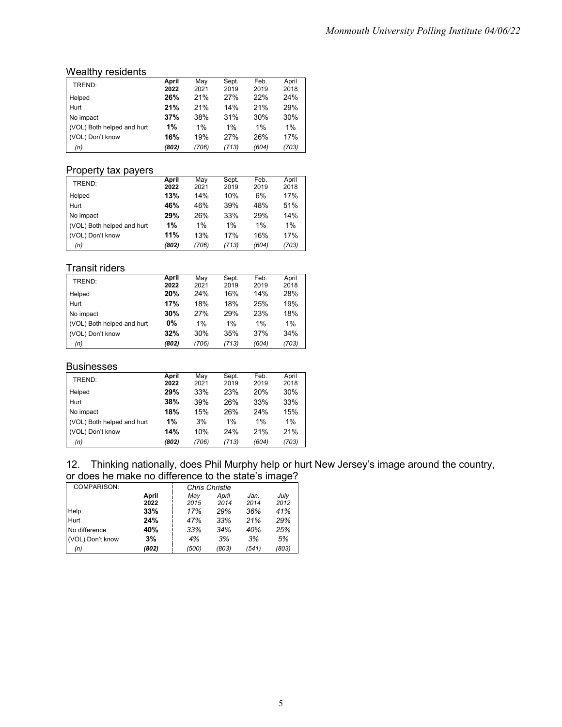#### Wealthy residents

| TREND:                     | April | Mav   | Sept. | Feb.  | April |
|----------------------------|-------|-------|-------|-------|-------|
|                            | 2022  | 2021  | 2019  | 2019  | 2018  |
| Helped                     | 26%   | 21%   | 27%   | 22%   | 24%   |
| Hurt                       | 21%   | 21%   | 14%   | 21%   | 29%   |
| No impact                  | 37%   | 38%   | 31%   | 30%   | 30%   |
| (VOL) Both helped and hurt | 1%    | 1%    | 1%    | 1%    | $1\%$ |
| (VOL) Don't know           | 16%   | 19%   | 27%   | 26%   | 17%   |
| (n)                        | (802) | (706) | (713) | (604) | (703) |

#### Property tax payers

| TREND:                     | April<br>2022 | Mav<br>2021 | Sept.<br>2019 | Feb.<br>2019 | April<br>2018 |
|----------------------------|---------------|-------------|---------------|--------------|---------------|
| Helped                     | 13%           | 14%         | 10%           | 6%           | 17%           |
| Hurt                       | 46%           | 46%         | 39%           | 48%          | 51%           |
| No impact                  | 29%           | 26%         | 33%           | 29%          | 14%           |
| (VOL) Both helped and hurt | 1%            | 1%          | 1%            | 1%           | 1%            |
| (VOL) Don't know           | 11%           | 13%         | 17%           | 16%          | 17%           |
| (n)                        | (802)         | (706)       | (713)         | (604)        | (703)         |

#### Transit riders

| TREND:                     | April | Mav   | Sept. | Feb.  | April |
|----------------------------|-------|-------|-------|-------|-------|
|                            | 2022  | 2021  | 2019  | 2019  | 2018  |
| Helped                     | 20%   | 24%   | 16%   | 14%   | 28%   |
| Hurt                       | 17%   | 18%   | 18%   | 25%   | 19%   |
| No impact                  | 30%   | 27%   | 29%   | 23%   | 18%   |
| (VOL) Both helped and hurt | 0%    | 1%    | 1%    | 1%    | 1%    |
| (VOL) Don't know           | 32%   | 30%   | 35%   | 37%   | 34%   |
| (n)                        | (802) | (706) | (713) | (604) | (703) |

#### **Businesses**

| TREND:                     | April | Mav   | Sept. | Feb.  | April |
|----------------------------|-------|-------|-------|-------|-------|
|                            | 2022  | 2021  | 2019  | 2019  | 2018  |
| Helped                     | 29%   | 33%   | 23%   | 20%   | 30%   |
| Hurt                       | 38%   | 39%   | 26%   | 33%   | 33%   |
| No impact                  | 18%   | 15%   | 26%   | 24%   | 15%   |
| (VOL) Both helped and hurt | 1%    | 3%    | 1%    | $1\%$ | 1%    |
| (VOL) Don't know           | 14%   | 10%   | 24%   | 21%   | 21%   |
| (n)                        | (802) | (706) | (713) | (604) | (703) |

#### 12. Thinking nationally, does Phil Murphy help or hurt New Jersey's image around the country, or does he make no difference to the state's image?

| <b>COMPARISON:</b> |       | Chris Christie |       |       |       |  |  |  |
|--------------------|-------|----------------|-------|-------|-------|--|--|--|
|                    | April | Mav            | April | Jan.  | July  |  |  |  |
|                    | 2022  | 2015           | 2014  | 2014  | 2012  |  |  |  |
| Help               | 33%   | 17%            | 29%   | 36%   | 41%   |  |  |  |
| Hurt               | 24%   | 47%            | 33%   | 21%   | 29%   |  |  |  |
| No difference      | 40%   | 33%            | 34%   | 40%   | 25%   |  |  |  |
| (VOL) Don't know   | 3%    | 4%             | 3%    | 3%    | 5%    |  |  |  |
| (n)                | (802) | (500)          | (803) | (541) | (803) |  |  |  |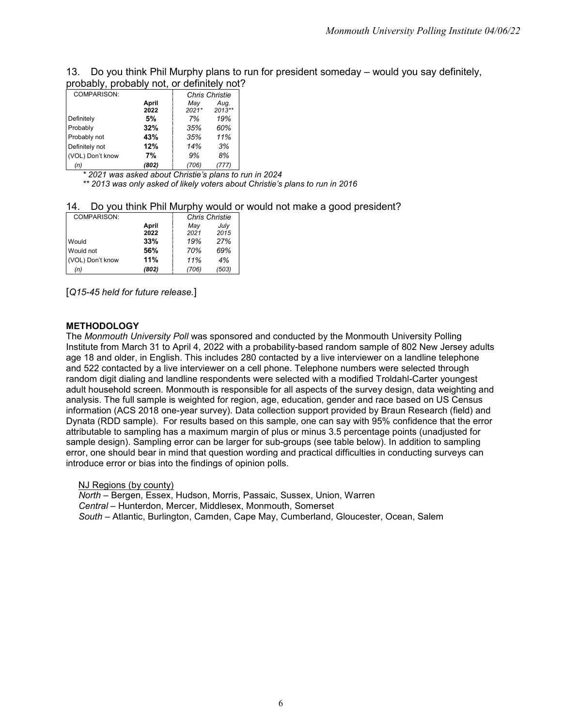| 13. Do you think Phil Murphy plans to run for president someday – would you say definitely, |  |  |  |
|---------------------------------------------------------------------------------------------|--|--|--|
| probably, probably not, or definitely not?                                                  |  |  |  |

| probably, probably |       |                       | .      |  |  |  |
|--------------------|-------|-----------------------|--------|--|--|--|
| COMPARISON:        |       | <b>Chris Christie</b> |        |  |  |  |
|                    | April | May                   | Aug.   |  |  |  |
|                    | 2022  | $2021*$               | 2013** |  |  |  |
| Definitely         | 5%    | 7%                    | 19%    |  |  |  |
| Probably           | 32%   | 35%                   | 60%    |  |  |  |
| Probably not       | 43%   | 35%                   | 11%    |  |  |  |
| Definitely not     | 12%   | 14%                   | 3%     |  |  |  |
| (VOL) Don't know   | 7%    | 9%                    | 8%     |  |  |  |
| (n)                | (802) | 706)                  | 777)   |  |  |  |

*\* 2021 was asked about Christie's plans to run in 2024 \*\* 2013 was only asked of likely voters about Christie's plans to run in 2016*

#### 14. Do you think Phil Murphy would or would not make a good president?

| COMPARISON:      |       | <b>Chris Christie</b> |       |  |  |  |
|------------------|-------|-----------------------|-------|--|--|--|
|                  | April | May                   | July  |  |  |  |
|                  | 2022  | 2021                  | 2015  |  |  |  |
| Would            | 33%   | 19%                   | 27%   |  |  |  |
| Would not        | 56%   | 70%                   | 69%   |  |  |  |
| (VOL) Don't know | 11%   | 11%                   | 4%    |  |  |  |
| (n)              | (802) | (706)                 | (503) |  |  |  |

[*Q15-45 held for future release.*]

#### **METHODOLOGY**

The *Monmouth University Poll* was sponsored and conducted by the Monmouth University Polling Institute from March 31 to April 4, 2022 with a probability-based random sample of 802 New Jersey adults age 18 and older, in English. This includes 280 contacted by a live interviewer on a landline telephone and 522 contacted by a live interviewer on a cell phone. Telephone numbers were selected through random digit dialing and landline respondents were selected with a modified Troldahl-Carter youngest adult household screen. Monmouth is responsible for all aspects of the survey design, data weighting and analysis. The full sample is weighted for region, age, education, gender and race based on US Census information (ACS 2018 one-year survey). Data collection support provided by Braun Research (field) and Dynata (RDD sample). For results based on this sample, one can say with 95% confidence that the error attributable to sampling has a maximum margin of plus or minus 3.5 percentage points (unadjusted for sample design). Sampling error can be larger for sub-groups (see table below). In addition to sampling error, one should bear in mind that question wording and practical difficulties in conducting surveys can introduce error or bias into the findings of opinion polls.

NJ Regions (by county) *North* – Bergen, Essex, Hudson, Morris, Passaic, Sussex, Union, Warren *Central* – Hunterdon, Mercer, Middlesex, Monmouth, Somerset *South* – Atlantic, Burlington, Camden, Cape May, Cumberland, Gloucester, Ocean, Salem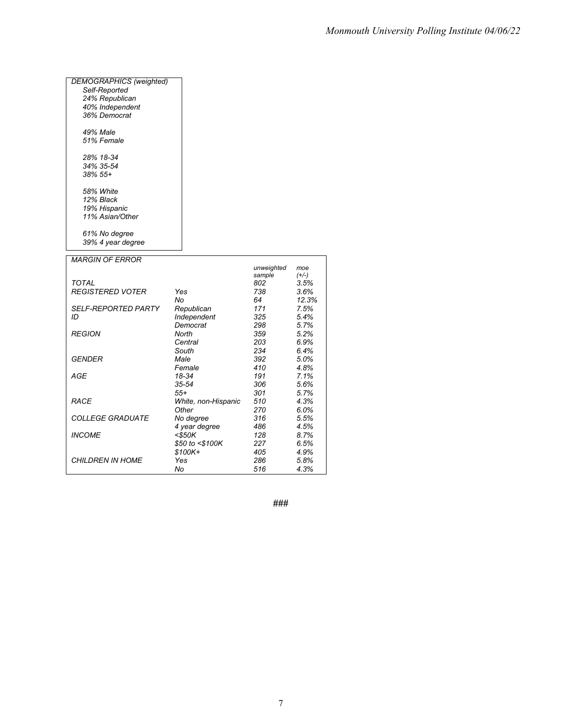### *DEMOGRAPHICS (weighted) Self-Reported 24% Republican 40% Independent 36% Democrat 49% Male 51% Female 28% 18-34 34% 35-54 38% 55+ 58% White 12% Black 19% Hispanic 11% Asian/Other 61% No degree 39% 4 year degree MARGIN OF ERROR*

|                            |                     | sample | $(+/-)$ |
|----------------------------|---------------------|--------|---------|
| TOTAL                      |                     | 802    | 3.5%    |
| <b>REGISTERED VOTER</b>    | Yes                 | 738    | 3.6%    |
|                            | No                  | 64     | 12.3%   |
| <i>SELF-REPORTED PARTY</i> | Republican          | 171    | 7.5%    |
| ID                         | Independent         | 325    | 5.4%    |
|                            | Democrat            | 298    | 5.7%    |
| <b>REGION</b>              | North               | 359    | 5.2%    |
|                            | Central             | 203    | 6.9%    |
|                            | South               | 234    | 6.4%    |
| GENDER                     | Male                | 392    | $5.0\%$ |
|                            | Female              | 410    | 4.8%    |
| AGE                        | 18-34               | 191    | 7.1%    |
|                            | $35 - 54$           | 306    | 5.6%    |
|                            | $55+$               | 301    | 5.7%    |
| <b>RACE</b>                | White, non-Hispanic | 510    | 4.3%    |
|                            | Other               | 270    | 6.0%    |
| <b>COLLEGE GRADUATE</b>    | No degree           | 316    | $5.5\%$ |
|                            | 4 year degree       | 486    | 4.5%    |
| <b>INCOME</b>              | $<$ \$50K           | 128    | 8.7%    |
|                            | \$50 to <\$100K     | 227    | 6.5%    |
|                            | $$100K+$            | 405    | 4.9%    |
| <b>CHILDREN IN HOME</b>    | Yes                 | 286    | 5.8%    |
|                            | No                  | 516    | 4.3%    |

**###**

*unweighted* 

*moe*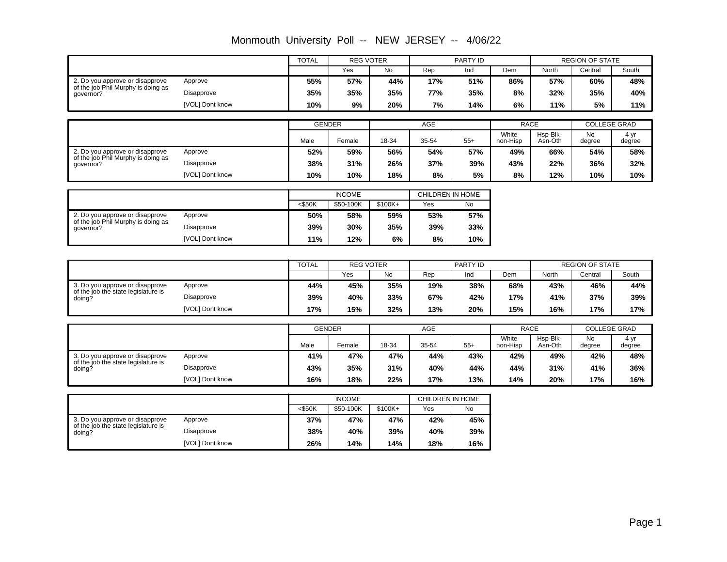|                                                                        |                               | <b>TOTAL</b> | <b>REG VOTER</b>           |            |                         | PARTY ID               |                   |                     | <b>REGION OF STATE</b>                              |                     |  |
|------------------------------------------------------------------------|-------------------------------|--------------|----------------------------|------------|-------------------------|------------------------|-------------------|---------------------|-----------------------------------------------------|---------------------|--|
|                                                                        |                               |              | Yes                        | <b>No</b>  | Rep                     | Ind                    | Dem               | North               | Central                                             | South               |  |
| 2. Do you approve or disapprove<br>of the job Phil Murphy is doing as  | Approve                       | 55%          | 57%                        | 44%        | 17%                     | 51%                    | 86%               | 57%                 | 60%                                                 | 48%                 |  |
| governor?                                                              | <b>Disapprove</b>             | 35%          | 35%                        | 35%        | 77%                     | 35%                    | 8%                | 32%                 | 35%                                                 | 40%                 |  |
|                                                                        | [VOL] Dont know               | 10%          | 9%                         | 20%        | 7%                      | 14%                    | 6%                | 11%                 | 5%                                                  | 11%                 |  |
|                                                                        |                               |              |                            |            |                         |                        |                   |                     |                                                     |                     |  |
|                                                                        |                               |              | <b>GENDER</b>              |            | <b>AGE</b>              |                        | <b>RACE</b>       |                     |                                                     | <b>COLLEGE GRAD</b> |  |
|                                                                        |                               | Male         | Female                     | 18-34      | 35-54                   | $55+$                  | White<br>non-Hisp | Hsp-Blk-<br>Asn-Oth | <b>No</b><br>degree                                 | 4 yr<br>degree      |  |
| 2. Do you approve or disapprove<br>of the job Phil Murphy is doing as  | Approve                       | 52%          | 59%                        | 56%        | 54%                     | 57%                    | 49%               | 66%                 | 54%                                                 | 58%                 |  |
| aovernor?                                                              | <b>Disapprove</b>             | 38%          | 31%                        | 26%        | 37%                     | 39%                    | 43%               | 22%                 | 36%                                                 | 32%                 |  |
|                                                                        | [VOL] Dont know               | 10%          | 10%                        | 18%        | 8%                      | 5%                     | 8%                | 12%                 | 10%                                                 | 10%                 |  |
|                                                                        |                               |              |                            |            |                         |                        |                   |                     |                                                     |                     |  |
|                                                                        |                               | $<$ \$50K    | <b>INCOME</b><br>\$50-100K | $$100K+$   | CHILDREN IN HOME<br>Yes | No                     |                   |                     |                                                     |                     |  |
| 2. Do you approve or disapprove                                        | Approve                       | 50%          | 58%                        | 59%        | 53%                     | 57%                    |                   |                     |                                                     |                     |  |
| of the job Phil Murphy is doing as                                     | Disapprove                    | 39%          | 30%                        | 35%        | 39%                     | 33%                    |                   |                     |                                                     |                     |  |
| qovernor?                                                              | [VOL] Dont know               | 11%          | 12%                        | 6%         | 8%                      |                        |                   |                     |                                                     |                     |  |
|                                                                        |                               |              |                            |            |                         | 10%                    |                   |                     |                                                     |                     |  |
|                                                                        |                               |              | <b>REG VOTER</b>           |            |                         |                        |                   |                     |                                                     |                     |  |
|                                                                        |                               | <b>TOTAL</b> | Yes                        | No         | Rep                     | PARTY ID<br>Ind<br>Dem |                   |                     | <b>REGION OF STATE</b><br>North<br>South<br>Central |                     |  |
| 3. Do you approve or disapprove                                        | Approve                       | 44%          | 45%                        | 35%        | 19%                     | 38%                    | 68%               | 43%                 | 46%                                                 | 44%                 |  |
| of the job the state legislature is<br>doing?                          | Disapprove                    | 39%          | 40%                        | 33%        | 67%                     | 42%                    | 17%               | 41%                 | 37%                                                 | 39%                 |  |
|                                                                        | [VOL] Dont know               | 17%          | 15%                        | 32%        | 13%                     | 20%                    | 15%               | 16%                 | 17%                                                 | 17%                 |  |
|                                                                        |                               |              |                            |            |                         |                        |                   |                     |                                                     |                     |  |
|                                                                        |                               |              | <b>GENDER</b>              |            | <b>AGE</b>              |                        | <b>RACE</b>       |                     |                                                     | <b>COLLEGE GRAD</b> |  |
|                                                                        |                               | Male         | Female                     | 18-34      | 35-54                   | $55+$                  | White<br>non-Hisp | Hsp-Blk-<br>Asn-Oth | No<br>degree                                        | 4 yr<br>degree      |  |
| 3. Do you approve or disapprove                                        | Approve                       | 41%          | 47%                        | 47%        | 44%                     | 43%                    | 42%               | 49%                 | 42%                                                 | 48%                 |  |
| of the job the state legislature is<br>doing?                          | Disapprove                    | 43%          | 35%                        | 31%        | 40%                     | 44%                    | 44%               | 31%                 | 41%                                                 | 36%                 |  |
|                                                                        | [VOL] Dont know               | 16%          | 18%                        | 22%        | 17%                     | 13%                    | 14%               | 20%                 | 17%                                                 | 16%                 |  |
|                                                                        |                               |              |                            |            |                         |                        |                   |                     |                                                     |                     |  |
|                                                                        |                               | $<$ \$50K    | <b>INCOME</b><br>\$50-100K | \$100K+    | CHILDREN IN HOME<br>Yes | No                     |                   |                     |                                                     |                     |  |
|                                                                        |                               |              |                            |            |                         |                        |                   |                     |                                                     |                     |  |
|                                                                        |                               |              |                            |            |                         |                        |                   |                     |                                                     |                     |  |
| 3. Do you approve or disapprove<br>of the job the state legislature is | Approve                       | 37%          | 47%                        | 47%        | 42%                     | 45%                    |                   |                     |                                                     |                     |  |
| doing?                                                                 | Disapprove<br>[VOL] Dont know | 38%<br>26%   | 40%<br>14%                 | 39%<br>14% | 40%<br>18%              | 39%<br>16%             |                   |                     |                                                     |                     |  |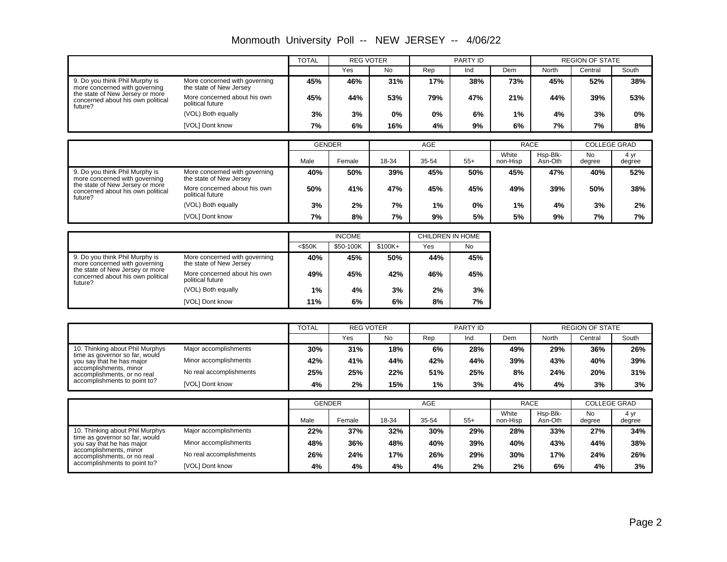|                                                                                 |                                                          | <b>TOTAL</b>  | <b>REG VOTER</b> |           |       | PARTY ID |                   | <b>REGION OF STATE</b> |                     |                |
|---------------------------------------------------------------------------------|----------------------------------------------------------|---------------|------------------|-----------|-------|----------|-------------------|------------------------|---------------------|----------------|
|                                                                                 |                                                          |               | Yes              | <b>No</b> | Rep   | Ind      | Dem               | North                  | Central             | South          |
| 9. Do you think Phil Murphy is<br>more concerned with governing                 | More concerned with governing<br>the state of New Jersey | 45%           | 46%              | 31%       | 17%   | 38%      | 73%               | 45%                    | 52%                 | 38%            |
| the state of New Jersey or more<br>concerned about his own political<br>future? | More concerned about his own<br>political future         | 45%           | 44%              | 53%       | 79%   | 47%      | 21%               | 44%                    | 39%                 | 53%            |
|                                                                                 | (VOL) Both equally                                       | 3%            | 3%               | 0%        | $0\%$ | 6%       | 1%                | 4%                     | 3%                  | 0%             |
|                                                                                 | [VOL] Dont know                                          | 7%            | 6%               | 16%       | 4%    | 9%       | 6%                | 7%                     | 7%                  | 8%             |
|                                                                                 |                                                          |               |                  |           |       |          |                   |                        |                     |                |
|                                                                                 |                                                          | <b>GENDER</b> |                  | AGE       |       |          | <b>RACE</b>       |                        | <b>COLLEGE GRAD</b> |                |
|                                                                                 |                                                          | Male          | Female           | 18-34     | 35-54 | $55+$    | White<br>non-Hisp | Hsp-Blk-<br>Asn-Oth    | No<br>degree        | 4 yr<br>degree |
| 9. Do you think Phil Murphy is<br>more concerned with governing                 | More concerned with governing<br>the state of New Jersey | 40%           | 50%              | 39%       | 45%   | 50%      | 45%               | 47%                    | 40%                 | 52%            |
| the state of New Jersey or more<br>concerned about his own political<br>future? | More concerned about his own<br>political future         | 50%           | 41%              | 47%       | 45%   | 45%      | 49%               | 39%                    | 50%                 | 38%            |
|                                                                                 | (VOL) Both equally                                       | 3%            | 2%               | 7%        | 1%    | 0%       | 1%                | 4%                     | 3%                  | 2%             |
|                                                                                 | [VOL] Dont know                                          | 7%            | 8%               | 7%        | 9%    | 5%       | 5%                | 9%                     | 7%                  | 7%             |

|                                                                                 |                                                          |           | <b>INCOME</b> |          | CHILDREN IN HOME |           |  |
|---------------------------------------------------------------------------------|----------------------------------------------------------|-----------|---------------|----------|------------------|-----------|--|
|                                                                                 |                                                          | $<$ \$50K | \$50-100K     | $$100K+$ | Yes              | <b>No</b> |  |
| 9. Do you think Phil Murphy is<br>more concerned with governing                 | More concerned with governing<br>the state of New Jersey | 40%       | 45%           | 50%      | 44%              | 45%       |  |
| the state of New Jersey or more<br>concerned about his own political<br>future? | More concerned about his own<br>political future         | 49%       | 45%           | 42%      | 46%              | 45%       |  |
|                                                                                 | (VOL) Both equally                                       | $1\%$     | 4%            | 3%       | 2%               | 3%        |  |
|                                                                                 | [VOL] Dont know                                          | 11%       | 6%            | 6%       | 8%               | 7%        |  |

|                                                                                                                                                                                         |                         | <b>TOTAL</b><br><b>REG VOTER</b> |     |     | <b>PARTY ID</b> |     |     | <b>REGION OF STATE</b> |         |       |
|-----------------------------------------------------------------------------------------------------------------------------------------------------------------------------------------|-------------------------|----------------------------------|-----|-----|-----------------|-----|-----|------------------------|---------|-------|
|                                                                                                                                                                                         |                         |                                  | Yes | No  | Rep             | Ind | Dem | North                  | Central | South |
| 10. Thinking about Phil Murphys<br>time as governor so far, would<br>you say that he has major<br>accomplishments, minor<br>accomplishments, or no real<br>accomplishments to point to? | Major accomplishments   | 30%                              | 31% | 18% | 6%              | 28% | 49% | 29%                    | 36%     | 26%   |
|                                                                                                                                                                                         | Minor accomplishments   | 42%                              | 41% | 44% | 42%             | 44% | 39% | 43%                    | 40%     | 39%   |
|                                                                                                                                                                                         | No real accomplishments | 25%                              | 25% | 22% | 51%             | 25% | 8%  | 24%                    | 20%     | 31%   |
|                                                                                                                                                                                         | [VOL] Dont know         | 4%                               | 2%  | 15% | $1\%$           | 3%  | 4%  | 4%                     | 3%      | 3%    |

|                                                                                                                                                                                                                                                                                         |  | <b>GENDER</b> |        | AGE   |       |       | <b>RACE</b>       |                     | <b>COLLEGE GRAD</b> |                |
|-----------------------------------------------------------------------------------------------------------------------------------------------------------------------------------------------------------------------------------------------------------------------------------------|--|---------------|--------|-------|-------|-------|-------------------|---------------------|---------------------|----------------|
|                                                                                                                                                                                                                                                                                         |  | Male          | Female | 18-34 | 35-54 | $55+$ | White<br>non-Hisp | Hsp-Blk-<br>Asn-Oth | No<br>degree        | 4 yr<br>degree |
| 10. Thinking about Phil Murphys<br>Major accomplishments<br>time as governor so far, would<br>Minor accomplishments<br>you say that he has major<br>accomplishments, minor<br>No real accomplishments<br>accomplishments, or no real<br>accomplishments to point to?<br>[VOL] Dont know |  | 22%           | 37%    | 32%   | 30%   | 29%   | 28%               | 33%                 | 27%                 | 34%            |
|                                                                                                                                                                                                                                                                                         |  | 48%           | 36%    | 48%   | 40%   | 39%   | 40%               | 43%                 | 44%                 | 38%            |
|                                                                                                                                                                                                                                                                                         |  | 26%           | 24%    | 17%   | 26%   | 29%   | 30%               | 17%                 | 24%                 | 26%            |
|                                                                                                                                                                                                                                                                                         |  | 4%            | 4%     | 4%    | 4%    | 2%    | 2%                | 6%                  | 4%                  | 3%             |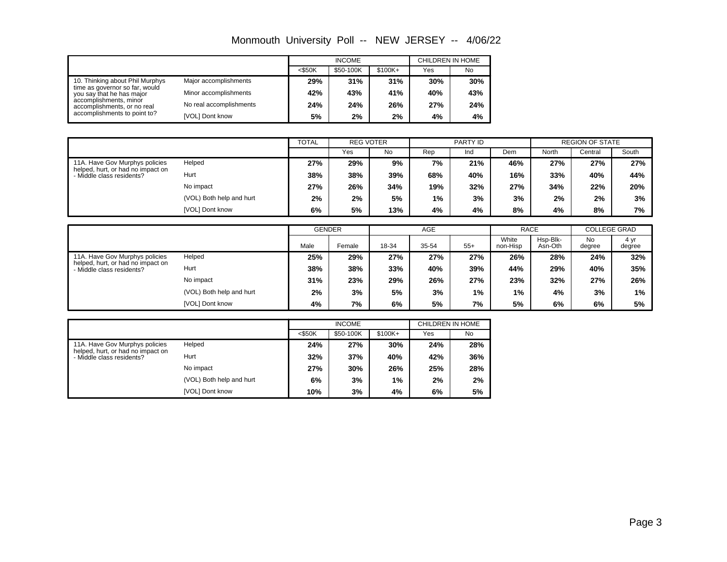|                                                                                                                                                      |                         |           | <b>INCOME</b> |           | CHILDREN IN HOME |     |  |  |
|------------------------------------------------------------------------------------------------------------------------------------------------------|-------------------------|-----------|---------------|-----------|------------------|-----|--|--|
|                                                                                                                                                      |                         | $<$ \$50K | \$50-100K     | $$100K +$ | Yes              | No  |  |  |
| 10. Thinking about Phil Murphys                                                                                                                      | Major accomplishments   | 29%       | 31%           | 31%       | 30%              | 30% |  |  |
| time as governor so far, would<br>you say that he has major<br>accomplishments, minor<br>accomplishments, or no real<br>accomplishments to point to? | Minor accomplishments   | 42%       | 43%           | 41%       | 40%              | 43% |  |  |
|                                                                                                                                                      | No real accomplishments | 24%       | 24%           | 26%       | 27%              | 24% |  |  |
|                                                                                                                                                      | [VOL] Dont know         | 5%        | 2%            | 2%        | 4%               | 4%  |  |  |

|                                                                                                  |                          | <b>TOTAL</b> | <b>REG VOTER</b> |     |       | PARTY ID |     |       | <b>REGION OF STATE</b> |       |  |
|--------------------------------------------------------------------------------------------------|--------------------------|--------------|------------------|-----|-------|----------|-----|-------|------------------------|-------|--|
|                                                                                                  |                          |              | Yes              | No. | Rep   | Ind      | Dem | North | Central                | South |  |
| 11A. Have Gov Murphys policies<br>helped, hurt, or had no impact on<br>- Middle class residents? | Helped                   | 27%          | 29%              | 9%  | 7%    | 21%      | 46% | 27%   | 27%                    | 27%   |  |
|                                                                                                  | Hurt                     | 38%          | 38%              | 39% | 68%   | 40%      | 16% | 33%   | 40%                    | 44%   |  |
|                                                                                                  | No impact                | 27%          | 26%              | 34% | 19%   | 32%      | 27% | 34%   | 22%                    | 20%   |  |
|                                                                                                  | (VOL) Both help and hurt | 2%           | 2%               | 5%  | $1\%$ | 3%       | 3%  | 2%    | 2%                     | 3%    |  |
|                                                                                                  | [VOL] Dont know          | 6%           | 5%               | 13% | 4%    | 4%       | 8%  | 4%    | 8%                     | 7%    |  |

|                                                                                                  |                          | <b>GENDER</b> |        |       | AGE   |       | <b>RACE</b>       |                     | <b>COLLEGE GRAD</b> |                |
|--------------------------------------------------------------------------------------------------|--------------------------|---------------|--------|-------|-------|-------|-------------------|---------------------|---------------------|----------------|
|                                                                                                  |                          | Male          | Female | 18-34 | 35-54 | $55+$ | White<br>non-Hisp | Hsp-Blk-<br>Asn-Oth | <b>No</b><br>degree | 4 yr<br>degree |
| 11A. Have Gov Murphys policies<br>helped, hurt, or had no impact on<br>- Middle class residents? | Helped                   | 25%           | 29%    | 27%   | 27%   | 27%   | 26%               | 28%                 | 24%                 | 32%            |
|                                                                                                  | Hurt                     | 38%           | 38%    | 33%   | 40%   | 39%   | 44%               | 29%                 | 40%                 | 35%            |
|                                                                                                  | No impact                | 31%           | 23%    | 29%   | 26%   | 27%   | 23%               | 32%                 | 27%                 | 26%            |
|                                                                                                  | (VOL) Both help and hurt | 2%            | 3%     | 5%    | 3%    | $1\%$ | 1%                | 4%                  | 3%                  | $1\%$          |
|                                                                                                  | [VOL] Dont know          | 4%            | 7%     | 6%    | 5%    | 7%    | 5%                | 6%                  | 6%                  | 5%             |

|                                                                |                          |           | <b>INCOME</b> |          | CHILDREN IN HOME |           |  |  |
|----------------------------------------------------------------|--------------------------|-----------|---------------|----------|------------------|-----------|--|--|
|                                                                |                          | $<$ \$50K | \$50-100K     | $$100K+$ | Yes              | <b>No</b> |  |  |
| 11A. Have Gov Murphys policies                                 | Helped                   | 24%       | 27%           | 30%      | 24%              | 28%       |  |  |
| helped, hurt, or had no impact on<br>- Middle class residents? | Hurt<br>No impact        |           | 37%           | 40%      | 42%              | 36%       |  |  |
|                                                                |                          |           | 30%           | 26%      | 25%              | 28%       |  |  |
|                                                                | (VOL) Both help and hurt | 6%        | 3%            | 1%       | 2%               | 2%        |  |  |
|                                                                | [VOL] Dont know          | 10%       | 3%            | 4%       | 6%               | 5%        |  |  |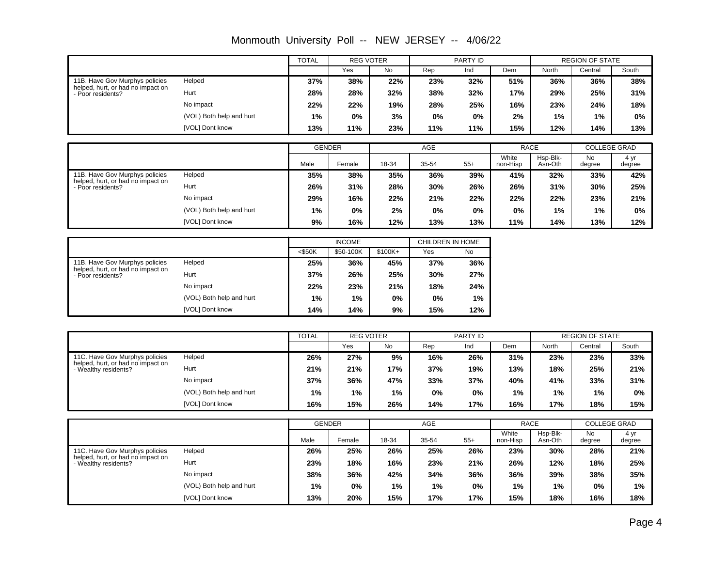|                                                        |                          | <b>TOTAL</b> |               | <b>REG VOTER</b> |       | PARTY ID         |                   |                     | <b>REGION OF STATE</b> |                     |
|--------------------------------------------------------|--------------------------|--------------|---------------|------------------|-------|------------------|-------------------|---------------------|------------------------|---------------------|
|                                                        |                          |              | Yes           | No               | Rep   | Ind              | Dem               | <b>North</b>        | Central                | South               |
| 11B. Have Gov Murphys policies                         | Helped                   | 37%          | 38%           | 22%              | 23%   | 32%              | 51%               | 36%                 | 36%                    | 38%                 |
| helped, hurt, or had no impact on<br>- Poor residents? | Hurt                     | 28%          | 28%           | 32%              | 38%   | 32%              | 17%               | 29%                 | 25%                    | 31%                 |
|                                                        | No impact                | 22%          | 22%           | 19%              | 28%   | 25%              | 16%               | 23%                 | 24%                    | 18%                 |
|                                                        | (VOL) Both help and hurt | 1%           | 0%            | 3%               | 0%    | 0%               | 2%                | 1%                  | 1%                     | 0%                  |
|                                                        | [VOL] Dont know          | 13%          | 11%           | 23%              | 11%   | 11%              | 15%               | 12%                 | 14%                    | 13%                 |
|                                                        |                          |              |               |                  |       |                  |                   |                     |                        |                     |
|                                                        |                          |              | <b>GENDER</b> |                  | AGE   |                  | <b>RACE</b>       |                     |                        | <b>COLLEGE GRAD</b> |
|                                                        |                          | Male         | Female        | 18-34            | 35-54 | $55+$            | White<br>non-Hisp | Hsp-Blk-<br>Asn-Oth | <b>No</b><br>degree    | 4 yr<br>degree      |
| 11B. Have Gov Murphys policies                         | Helped                   | 35%          | 38%           | 35%              | 36%   | 39%              | 41%               | 32%                 | 33%                    | 42%                 |
| helped, hurt, or had no impact on<br>- Poor residents? | Hurt                     | 26%          | 31%           | 28%              | 30%   | 26%              | 26%               | 31%                 | 30%                    | 25%                 |
|                                                        | No impact                | 29%          | 16%           | 22%              | 21%   | 22%              | 22%               | 22%                 | 23%                    | 21%                 |
|                                                        | (VOL) Both help and hurt | 1%           | 0%            | 2%               | 0%    | 0%               | 0%                | 1%                  | 1%                     | 0%                  |
|                                                        | [VOL] Dont know          | 9%           | 16%           | 12%              | 13%   | 13%              | 11%               | 14%                 | 13%                    | 12%                 |
|                                                        |                          |              |               |                  |       |                  |                   |                     |                        |                     |
|                                                        |                          |              | <b>INCOME</b> |                  |       | CHILDREN IN HOME |                   |                     |                        |                     |
|                                                        |                          | $<$ \$50K    | \$50-100K     | \$100K+          | Yes   | No               |                   |                     |                        |                     |
| 11B. Have Gov Murphys policies                         | Helped                   | 25%          | 36%           | 45%              | 37%   | 36%              |                   |                     |                        |                     |
| helped, hurt, or had no impact on<br>- Poor residents? | Hurt                     | 37%          | 26%           | 25%              | 30%   | 27%              |                   |                     |                        |                     |

Monmouth University Poll -- NEW JERSEY -- 4/06/22

|                                                                                             |                          | <b>TOTAL</b> | <b>REG VOTER</b> |     |     | PARTY ID |     |       | <b>REGION OF STATE</b> |       |
|---------------------------------------------------------------------------------------------|--------------------------|--------------|------------------|-----|-----|----------|-----|-------|------------------------|-------|
|                                                                                             |                          |              | Yes              | No  | Rep | Ind      | Dem | North | Central                | South |
| 11C. Have Gov Murphys policies<br>helped, hurt, or had no impact on<br>- Wealthy residents? | Helped                   | 26%          | 27%              | 9%  | 16% | 26%      | 31% | 23%   | 23%                    | 33%   |
|                                                                                             | Hurt                     | 21%          | 21%              | 17% | 37% | 19%      | 13% | 18%   | 25%                    | 21%   |
|                                                                                             | No impact                | 37%          | 36%              | 47% | 33% | 37%      | 40% | 41%   | 33%                    | 31%   |
|                                                                                             | (VOL) Both help and hurt | 1%           | 1%               | 1%  | 0%  | 0%       | 1%  | 1%    | 1%                     | 0%    |
|                                                                                             | [VOL] Dont know          | 16%          | 15%              | 26% | 14% | 17%      | 16% | 17%   | 18%                    | 15%   |

**14% 14% 9% 15% 12% 1% 1% 0% 0% 1% 22% 23% 21% 18% 24%**

No impact

(VOL) Both help and hurt [VOL] Dont know

|                                                                                             |                          | <b>GENDER</b> |        |       | <b>AGE</b> |       | <b>RACE</b>       |                     | <b>COLLEGE GRAD</b> |                |
|---------------------------------------------------------------------------------------------|--------------------------|---------------|--------|-------|------------|-------|-------------------|---------------------|---------------------|----------------|
|                                                                                             |                          | Male          | Female | 18-34 | 35-54      | $55+$ | White<br>non-Hisp | Hsp-Blk-<br>Asn-Oth | <b>No</b><br>degree | 4 yr<br>degree |
| 11C. Have Gov Murphys policies<br>helped, hurt, or had no impact on<br>- Wealthy residents? | Helped                   | 26%           | 25%    | 26%   | 25%        | 26%   | 23%               | 30%                 | 28%                 | 21%            |
|                                                                                             | Hurt                     | 23%           | 18%    | 16%   | 23%        | 21%   | 26%               | 12%                 | 18%                 | 25%            |
|                                                                                             | No impact                | 38%           | 36%    | 42%   | 34%        | 36%   | 36%               | 39%                 | 38%                 | 35%            |
|                                                                                             | (VOL) Both help and hurt | 1%            | 0%     | 1%    | $1\%$      | 0%    | $1\%$             | 1%                  | 0%                  | 1%             |
|                                                                                             | [VOL] Dont know          | 13%           | 20%    | 15%   | 17%        | 17%   | 15%               | 18%                 | 16%                 | 18%            |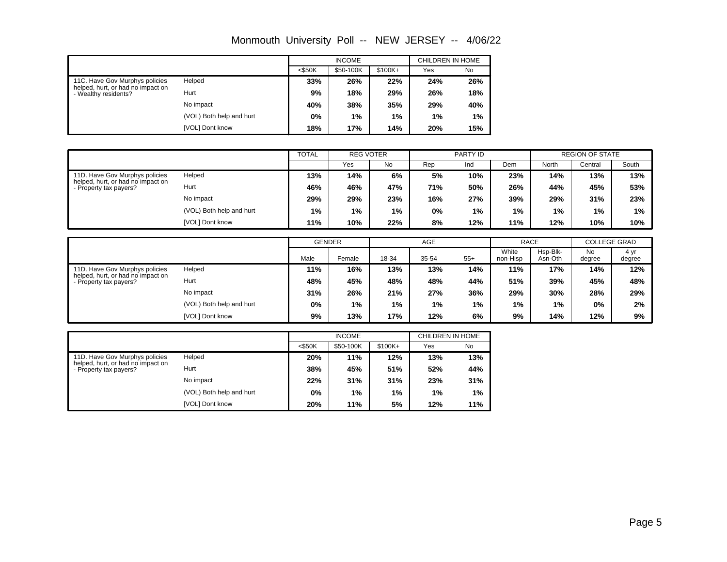|                                                                                             |                          |           | <b>INCOME</b> |           | CHILDREN IN HOME |     |  |  |
|---------------------------------------------------------------------------------------------|--------------------------|-----------|---------------|-----------|------------------|-----|--|--|
|                                                                                             |                          | $<$ \$50K | \$50-100K     | $$100K +$ | Yes              | No  |  |  |
| 11C. Have Gov Murphys policies<br>helped, hurt, or had no impact on<br>- Wealthy residents? | Helped                   | 33%       | 26%           | 22%       | 24%              | 26% |  |  |
|                                                                                             | Hurt                     | 9%        | 18%           | 29%       | 26%              | 18% |  |  |
|                                                                                             | No impact                | 40%       | 38%           | 35%       | 29%              | 40% |  |  |
|                                                                                             | (VOL) Both help and hurt | 0%        | $1\%$         | 1%        | 1%               | 1%  |  |  |
|                                                                                             | [VOL] Dont know          | 18%       | 17%           | 14%       | 20%              | 15% |  |  |

|                                                                                               |                          | <b>TOTAL</b><br><b>REG VOTER</b> |     | PARTY ID |     |     | <b>REGION OF STATE</b> |       |         |       |
|-----------------------------------------------------------------------------------------------|--------------------------|----------------------------------|-----|----------|-----|-----|------------------------|-------|---------|-------|
|                                                                                               |                          |                                  | Yes | No       | Rep | Ind | Dem                    | North | Central | South |
| 11D. Have Gov Murphys policies<br>helped, hurt, or had no impact on<br>- Property tax payers? | Helped                   | 13%                              | 14% | 6%       | 5%  | 10% | 23%                    | 14%   | 13%     | 13%   |
|                                                                                               | Hurt                     | 46%                              | 46% | 47%      | 71% | 50% | 26%                    | 44%   | 45%     | 53%   |
|                                                                                               | No impact                | 29%                              | 29% | 23%      | 16% | 27% | 39%                    | 29%   | 31%     | 23%   |
|                                                                                               | (VOL) Both help and hurt | $1\%$                            | 1%  | 1%       | 0%  | 1%  | 1%                     | 1%    | 1%      | $1\%$ |
|                                                                                               | [VOL] Dont know          | 11%                              | 10% | 22%      | 8%  | 12% | 11%                    | 12%   | 10%     | 10%   |

|                                                                                             |                          | <b>GENDER</b> |        |       | AGE   |       | <b>RACE</b>       |                     | <b>COLLEGE GRAD</b> |                |
|---------------------------------------------------------------------------------------------|--------------------------|---------------|--------|-------|-------|-------|-------------------|---------------------|---------------------|----------------|
|                                                                                             |                          | Male          | Female | 18-34 | 35-54 | $55+$ | White<br>non-Hisp | Hsp-Blk-<br>Asn-Oth | <b>No</b><br>degree | 4 yr<br>degree |
| 11D. Have Gov Murphys policies<br>helped, hurt, or had no impact on<br>Property tax payers? | Helped                   | 11%           | 16%    | 13%   | 13%   | 14%   | 11%               | 17%                 | 14%                 | 12%            |
|                                                                                             | Hurt                     | 48%           | 45%    | 48%   | 48%   | 44%   | 51%               | 39%                 | 45%                 | 48%            |
|                                                                                             | No impact                | 31%           | 26%    | 21%   | 27%   | 36%   | 29%               | 30%                 | 28%                 | 29%            |
|                                                                                             | (VOL) Both help and hurt | 0%            | 1%     | 1%    | 1%    | 1%    | 1%                | 1%                  | 0%                  | 2%             |
|                                                                                             | [VOL] Dont know          | 9%            | 13%    | 17%   | 12%   | 6%    | 9%                | 14%                 | 12%                 | 9%             |

|                                                                                               |                          |           | <b>INCOME</b> |           | CHILDREN IN HOME |           |  |  |
|-----------------------------------------------------------------------------------------------|--------------------------|-----------|---------------|-----------|------------------|-----------|--|--|
|                                                                                               |                          | $<$ \$50K | \$50-100K     | $$100K +$ | Yes              | <b>No</b> |  |  |
| 11D. Have Gov Murphys policies<br>helped, hurt, or had no impact on<br>- Property tax payers? | Helped                   | 20%       | 11%           | 12%       | 13%              | 13%       |  |  |
|                                                                                               | Hurt                     | 38%       | 45%           | 51%       | 52%              | 44%       |  |  |
|                                                                                               | No impact                | 22%       | 31%           | 31%       | 23%              | 31%       |  |  |
|                                                                                               | (VOL) Both help and hurt | 0%        | 1%            | 1%        | 1%               | 1%        |  |  |
|                                                                                               | [VOL] Dont know          | 20%       | 11%           | 5%        | 12%              | 11%       |  |  |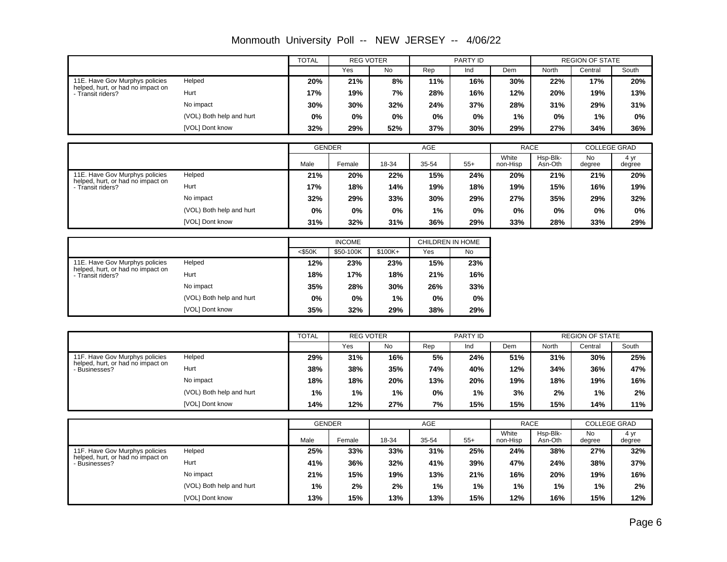|                                                                     |                          | TOTAL     | <b>REG VOTER</b> |          |       | PARTY ID         |                   |                     | <b>REGION OF STATE</b> |                     |
|---------------------------------------------------------------------|--------------------------|-----------|------------------|----------|-------|------------------|-------------------|---------------------|------------------------|---------------------|
|                                                                     |                          |           | Yes              | No       | Rep   | Ind              | Dem               | North               | Central                | South               |
| 11E. Have Gov Murphys policies                                      | Helped                   | 20%       | 21%              | 8%       | 11%   | 16%              | 30%               | 22%                 | 17%                    | 20%                 |
| helped, hurt, or had no impact on<br>- Transit riders?              | Hurt                     | 17%       | 19%              | 7%       | 28%   | 16%              | 12%               | 20%                 | 19%                    | 13%                 |
|                                                                     | No impact                | 30%       | 30%              | 32%      | 24%   | 37%              | 28%               | 31%                 | 29%                    | 31%                 |
|                                                                     | (VOL) Both help and hurt | 0%        | 0%               | 0%       | $0\%$ | 0%               | 1%                | $0\%$               | 1%                     | 0%                  |
|                                                                     | [VOL] Dont know          | 32%       | 29%              | 52%      | 37%   | 30%              | 29%               | 27%                 | 34%                    | 36%                 |
|                                                                     |                          |           |                  |          |       |                  |                   |                     |                        |                     |
|                                                                     |                          |           | <b>GENDER</b>    |          | AGE   |                  | <b>RACE</b>       |                     |                        | <b>COLLEGE GRAD</b> |
|                                                                     |                          | Male      | Female           | 18-34    | 35-54 | $55+$            | White<br>non-Hisp | Hsp-Blk-<br>Asn-Oth | No.<br>degree          | 4 yr<br>degree      |
| 11E. Have Gov Murphys policies<br>helped, hurt, or had no impact on | Helped                   | 21%       | 20%              | 22%      | 15%   | 24%              | 20%               | 21%                 | 21%                    | 20%                 |
| - Transit riders?                                                   | Hurt                     | 17%       | 18%              | 14%      | 19%   | 18%              | 19%               | 15%                 | 16%                    | 19%                 |
|                                                                     | No impact                | 32%       | 29%              | 33%      | 30%   | 29%              | 27%               | 35%                 | 29%                    | 32%                 |
|                                                                     | (VOL) Both help and hurt | $0\%$     | 0%               | $0\%$    | 1%    | $0\%$            | $0\%$             | $0\%$               | 0%                     | $0\%$               |
|                                                                     | [VOL] Dont know          | 31%       | 32%              | 31%      | 36%   | 29%              | 33%               | 28%                 | 33%                    | 29%                 |
|                                                                     |                          |           |                  |          |       |                  |                   |                     |                        |                     |
|                                                                     |                          |           | <b>INCOME</b>    |          |       | CHILDREN IN HOME |                   |                     |                        |                     |
|                                                                     |                          | $<$ \$50K | \$50-100K        | $$100K+$ | Yes   | No               |                   |                     |                        |                     |
| 11E. Have Gov Murphys policies                                      | Helped                   | 12%       | 23%              | 23%      | 15%   | 23%              |                   |                     |                        |                     |

Monmouth University Poll -- NEW JERSEY -- 4/06/22

|                                                        |                          |           | <b>INCOME</b> |           | CHILDREN IN HOME |     |  |
|--------------------------------------------------------|--------------------------|-----------|---------------|-----------|------------------|-----|--|
|                                                        |                          | $<$ \$50K | \$50-100K     | $$100K +$ | Yes              | No  |  |
| 11E. Have Gov Murphys policies                         | Helped                   | 12%       | 23%           | 23%       | 15%              | 23% |  |
| helped, hurt, or had no impact on<br>- Transit riders? | Hurt<br>18%              |           | 17%           | 18%       | 21%              | 16% |  |
|                                                        | No impact                | 35%       | 28%           | 30%       | 26%              | 33% |  |
|                                                        | (VOL) Both help and hurt | 0%        | $0\%$         | 1%        | 0%               | 0%  |  |
|                                                        | [VOL] Dont know          | 35%       | 32%           | 29%       | 38%              | 29% |  |

|                                                  |                          | <b>TOTAL</b> | <b>REG VOTER</b> |     | PARTY ID |       | <b>REGION OF STATE</b> |       |         |       |
|--------------------------------------------------|--------------------------|--------------|------------------|-----|----------|-------|------------------------|-------|---------|-------|
|                                                  |                          |              | Yes              | No  | Rep      | Ind   | Dem                    | North | Central | South |
| 11F. Have Gov Murphys policies                   | Helped                   | 29%          | 31%              | 16% | 5%       | 24%   | 51%                    | 31%   | 30%     | 25%   |
| helped, hurt, or had no impact on<br>Businesses? | Hurt                     | 38%          | 38%              | 35% | 74%      | 40%   | 12%                    | 34%   | 36%     | 47%   |
|                                                  | No impact                | 18%          | 18%              | 20% | 13%      | 20%   | 19%                    | 18%   | 19%     | 16%   |
|                                                  | (VOL) Both help and hurt | $1\%$        | 1%               | 1%  | $0\%$    | $1\%$ | 3%                     | 2%    | 1%      | 2%    |
|                                                  | [VOL] Dont know          | 14%          | 12%              | 27% | 7%       | 15%   | 15%                    | 15%   | 14%     | 11%   |

|                                                  |                          | <b>GENDER</b> |        |       | AGE   |       | <b>RACE</b>       |                     | <b>COLLEGE GRAD</b> |                |
|--------------------------------------------------|--------------------------|---------------|--------|-------|-------|-------|-------------------|---------------------|---------------------|----------------|
|                                                  |                          | Male          | Female | 18-34 | 35-54 | $55+$ | White<br>non-Hisp | Hsp-Blk-<br>Asn-Oth | No<br>degree        | 4 yr<br>degree |
| 11F. Have Gov Murphys policies                   | Helped                   | 25%           | 33%    | 33%   | 31%   | 25%   | 24%               | 38%                 | 27%                 | 32%            |
| helped, hurt, or had no impact on<br>Businesses? | Hurt                     | 41%           | 36%    | 32%   | 41%   | 39%   | 47%               | 24%                 | 38%                 | 37%            |
|                                                  | No impact                | 21%           | 15%    | 19%   | 13%   | 21%   | 16%               | 20%                 | 19%                 | 16%            |
|                                                  | (VOL) Both help and hurt | 1%            | 2%     | 2%    | $1\%$ | 1%    | 1%                | 1%                  | 1%                  | 2%             |
|                                                  | [VOL] Dont know          | 13%           | 15%    | 13%   | 13%   | 15%   | 12%               | 16%                 | 15%                 | 12%            |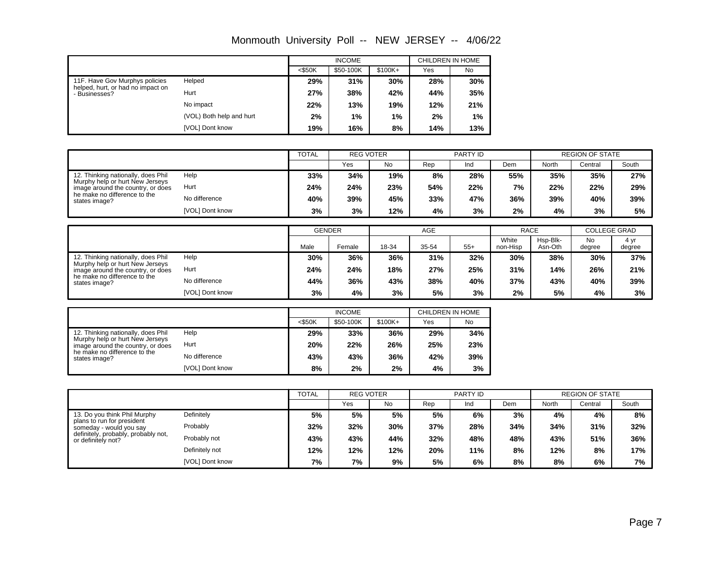|                                                                     |                          |           | <b>INCOME</b> |          | CHILDREN IN HOME |           |
|---------------------------------------------------------------------|--------------------------|-----------|---------------|----------|------------------|-----------|
|                                                                     |                          | $<$ \$50K | \$50-100K     | $$100K+$ | Yes              | <b>No</b> |
| 11F. Have Gov Murphys policies<br>helped, hurt, or had no impact on | Helped                   | 29%       | 31%           | 30%      | 28%              | 30%       |
| - Businesses?                                                       | Hurt                     | 27%       | 38%           | 42%      | 44%              | 35%       |
|                                                                     | No impact                | 22%       | 13%           | 19%      | 12%              | 21%       |
|                                                                     | (VOL) Both help and hurt | 2%        | $1\%$         | 1%       | 2%               | 1%        |
|                                                                     | [VOL] Dont know          | 19%       | 16%           | 8%       | 14%              | 13%       |

|                                                                                                                       |                 | <b>TOTAL</b> |     | <b>REG VOTER</b> |     | PARTY ID |     |       | <b>REGION OF STATE</b> |       |  |
|-----------------------------------------------------------------------------------------------------------------------|-----------------|--------------|-----|------------------|-----|----------|-----|-------|------------------------|-------|--|
|                                                                                                                       |                 |              | Yes | <b>No</b>        | Rep | Ind      | Dem | North | Central                | South |  |
| 12. Thinking nationally, does Phil                                                                                    | Help            | 33%          | 34% | 19%              | 8%  | 28%      | 55% | 35%   | 35%                    | 27%   |  |
| Murphy help or hurt New Jerseys<br>image around the country, or does<br>he make no difference to the<br>states image? | Hurt            | 24%          | 24% | 23%              | 54% | 22%      | 7%  | 22%   | 22%                    | 29%   |  |
|                                                                                                                       | No difference   | 40%          | 39% | 45%              | 33% | 47%      | 36% | 39%   | 40%                    | 39%   |  |
|                                                                                                                       | [VOL] Dont know | 3%           | 3%  | 12%              | 4%  | 3%       | 2%  | 4%    | 3%                     | 5%    |  |

|                                                                      |                 |      | <b>GENDER</b> |       | AGE   |       | <b>RACE</b>       |                     | <b>COLLEGE GRAD</b> |                |
|----------------------------------------------------------------------|-----------------|------|---------------|-------|-------|-------|-------------------|---------------------|---------------------|----------------|
|                                                                      |                 | Male | Female        | 18-34 | 35-54 | $55+$ | White<br>non-Hisp | Hsp-Blk-<br>Asn-Oth | <b>No</b><br>degree | 4 yr<br>degree |
| 12. Thinking nationally, does Phil                                   | Help            | 30%  | 36%           | 36%   | 31%   | 32%   | 30%               | 38%                 | 30%                 | 37%            |
| Murphy help or hurt New Jerseys<br>image around the country, or does | Hurt            | 24%  | 24%           | 18%   | 27%   | 25%   | 31%               | 14%                 | 26%                 | 21%            |
| he make no difference to the<br>states image?                        | No difference   | 44%  | 36%           | 43%   | 38%   | 40%   | 37%               | 43%                 | 40%                 | 39%            |
|                                                                      | [VOL] Dont know | 3%   | 4%            | 3%    | 5%    | 3%    | 2%                | 5%                  | 4%                  | 3%             |

|                                                                       |                 |           | <b>INCOME</b> |           | CHILDREN IN HOME |           |  |  |
|-----------------------------------------------------------------------|-----------------|-----------|---------------|-----------|------------------|-----------|--|--|
|                                                                       |                 | $<$ \$50K | \$50-100K     | $$100K +$ | Yes              | <b>No</b> |  |  |
| 12. Thinking nationally, does Phil<br>Murphy help or hurt New Jerseys | Help            | 29%       | 33%           | 36%       | 29%              | 34%       |  |  |
| image around the country, or does                                     | Hurt            | 20%       | 22%           | 26%       | 25%              | 23%       |  |  |
| he make no difference to the<br>states image?                         | No difference   | 43%       | 43%           | 36%       | 42%              | 39%       |  |  |
|                                                                       | [VOL] Dont know | 8%        | 2%            | 2%        | 4%               | 3%        |  |  |

|                                                           |                 | <b>TOTAL</b><br><b>REG VOTER</b> |     | PARTY ID  |     |     | <b>REGION OF STATE</b> |       |         |       |
|-----------------------------------------------------------|-----------------|----------------------------------|-----|-----------|-----|-----|------------------------|-------|---------|-------|
|                                                           |                 |                                  | Yes | <b>No</b> | Rep | Ind | Dem                    | North | Central | South |
| 13. Do you think Phil Murphy                              | Definitely      | 5%                               | 5%  | 5%        | 5%  | 6%  | 3%                     | 4%    | 4%      | 8%    |
| plans to run for president<br>someday - would you say     | Probably        | 32%                              | 32% | 30%       | 37% | 28% | 34%                    | 34%   | 31%     | 32%   |
| definitely, probably, probably not,<br>or definitely not? | Probably not    | 43%                              | 43% | 44%       | 32% | 48% | 48%                    | 43%   | 51%     | 36%   |
|                                                           | Definitely not  | 12%                              | 12% | 12%       | 20% | 11% | 8%                     | 12%   | 8%      | 17%   |
|                                                           | [VOL] Dont know | 7%                               | 7%  | 9%        | 5%  | 6%  | 8%                     | 8%    | 6%      | 7%    |